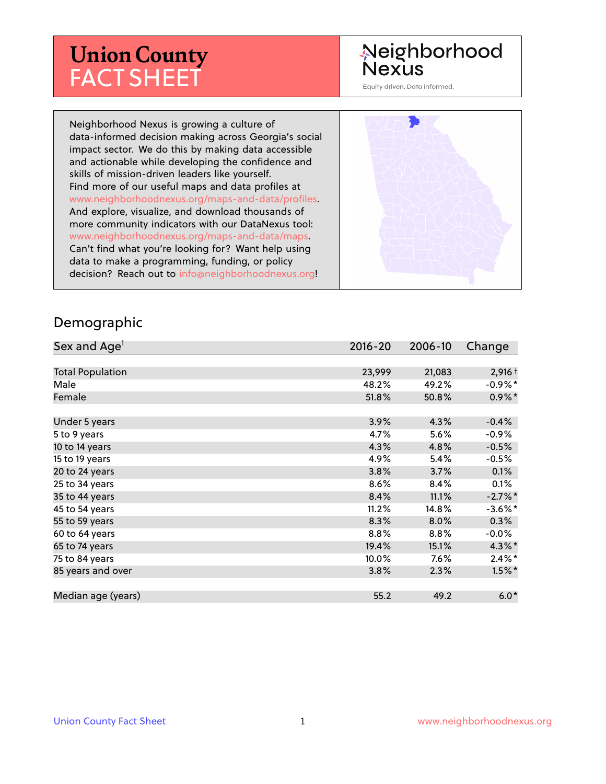# **Union County** FACT SHEET

# Neighborhood Nexus

Equity driven. Data informed.

Neighborhood Nexus is growing a culture of data-informed decision making across Georgia's social impact sector. We do this by making data accessible and actionable while developing the confidence and skills of mission-driven leaders like yourself. Find more of our useful maps and data profiles at www.neighborhoodnexus.org/maps-and-data/profiles. And explore, visualize, and download thousands of more community indicators with our DataNexus tool: www.neighborhoodnexus.org/maps-and-data/maps. Can't find what you're looking for? Want help using data to make a programming, funding, or policy decision? Reach out to [info@neighborhoodnexus.org!](mailto:info@neighborhoodnexus.org)



#### Demographic

| Sex and Age <sup>1</sup> | $2016 - 20$ | 2006-10 | Change     |
|--------------------------|-------------|---------|------------|
|                          |             |         |            |
| <b>Total Population</b>  | 23,999      | 21,083  | $2,916 +$  |
| Male                     | 48.2%       | 49.2%   | $-0.9\%$ * |
| Female                   | 51.8%       | 50.8%   | $0.9\%$ *  |
|                          |             |         |            |
| Under 5 years            | 3.9%        | 4.3%    | $-0.4%$    |
| 5 to 9 years             | 4.7%        | 5.6%    | $-0.9\%$   |
| 10 to 14 years           | 4.3%        | 4.8%    | $-0.5%$    |
| 15 to 19 years           | 4.9%        | 5.4%    | $-0.5%$    |
| 20 to 24 years           | 3.8%        | 3.7%    | 0.1%       |
| 25 to 34 years           | 8.6%        | 8.4%    | 0.1%       |
| 35 to 44 years           | 8.4%        | 11.1%   | $-2.7%$ *  |
| 45 to 54 years           | 11.2%       | 14.8%   | $-3.6\%$ * |
| 55 to 59 years           | 8.3%        | 8.0%    | 0.3%       |
| 60 to 64 years           | 8.8%        | $8.8\%$ | $-0.0\%$   |
| 65 to 74 years           | 19.4%       | 15.1%   | $4.3\%$ *  |
| 75 to 84 years           | $10.0\%$    | $7.6\%$ | $2.4\%$ *  |
| 85 years and over        | 3.8%        | 2.3%    | $1.5\%$ *  |
|                          |             |         |            |
| Median age (years)       | 55.2        | 49.2    | $6.0*$     |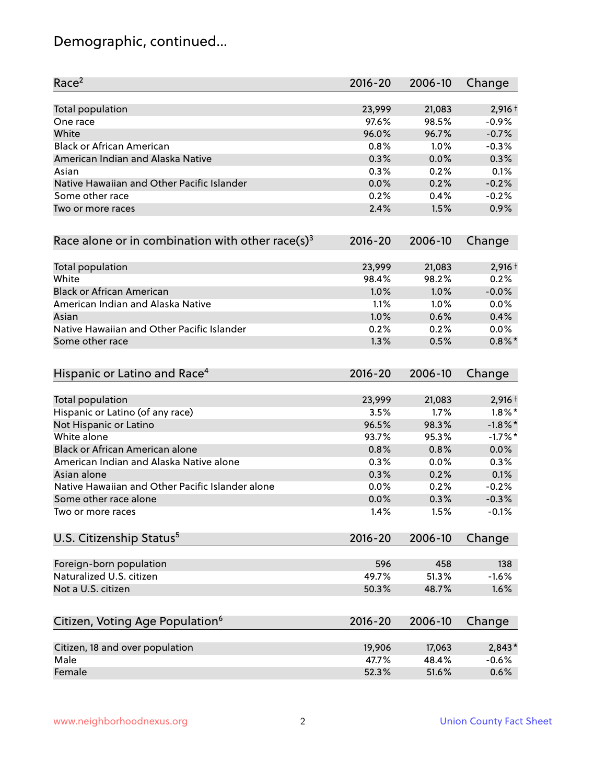# Demographic, continued...

| Race <sup>2</sup>                                            | 2016-20     | 2006-10 | Change     |
|--------------------------------------------------------------|-------------|---------|------------|
| <b>Total population</b>                                      | 23,999      | 21,083  | $2,916 +$  |
| One race                                                     | 97.6%       | 98.5%   | $-0.9%$    |
| White                                                        | 96.0%       | 96.7%   | $-0.7%$    |
| <b>Black or African American</b>                             | 0.8%        | 1.0%    | $-0.3%$    |
| American Indian and Alaska Native                            | 0.3%        | 0.0%    | 0.3%       |
| Asian                                                        | 0.3%        | 0.2%    | 0.1%       |
| Native Hawaiian and Other Pacific Islander                   | 0.0%        | 0.2%    | $-0.2%$    |
| Some other race                                              | 0.2%        | 0.4%    | $-0.2%$    |
| Two or more races                                            | 2.4%        | 1.5%    | 0.9%       |
| Race alone or in combination with other race(s) <sup>3</sup> | $2016 - 20$ | 2006-10 | Change     |
| Total population                                             | 23,999      | 21,083  | $2,916 +$  |
| White                                                        | 98.4%       | 98.2%   | 0.2%       |
| <b>Black or African American</b>                             | 1.0%        | 1.0%    | $-0.0%$    |
| American Indian and Alaska Native                            | 1.1%        | 1.0%    | 0.0%       |
| Asian                                                        | 1.0%        | 0.6%    | 0.4%       |
| Native Hawaiian and Other Pacific Islander                   | 0.2%        | 0.2%    | 0.0%       |
| Some other race                                              | 1.3%        | 0.5%    | $0.8\%$ *  |
| Hispanic or Latino and Race <sup>4</sup>                     | $2016 - 20$ | 2006-10 | Change     |
| <b>Total population</b>                                      | 23,999      | 21,083  | $2,916+$   |
| Hispanic or Latino (of any race)                             | 3.5%        | 1.7%    | $1.8\%$ *  |
| Not Hispanic or Latino                                       | 96.5%       | 98.3%   | $-1.8\%$ * |
| White alone                                                  | 93.7%       | 95.3%   | $-1.7%$ *  |
| Black or African American alone                              | 0.8%        | 0.8%    | 0.0%       |
| American Indian and Alaska Native alone                      | 0.3%        | 0.0%    | 0.3%       |
| Asian alone                                                  | 0.3%        | 0.2%    | 0.1%       |
| Native Hawaiian and Other Pacific Islander alone             | 0.0%        | 0.2%    | $-0.2%$    |
| Some other race alone                                        | 0.0%        | 0.3%    | $-0.3%$    |
| Two or more races                                            | 1.4%        | 1.5%    | $-0.1%$    |
| U.S. Citizenship Status <sup>5</sup>                         | $2016 - 20$ | 2006-10 | Change     |
| Foreign-born population                                      | 596         | 458     | 138        |
| Naturalized U.S. citizen                                     | 49.7%       | 51.3%   | $-1.6%$    |
| Not a U.S. citizen                                           | 50.3%       | 48.7%   | 1.6%       |
|                                                              |             |         |            |
| Citizen, Voting Age Population <sup>6</sup>                  | $2016 - 20$ | 2006-10 | Change     |
| Citizen, 18 and over population                              | 19,906      | 17,063  | 2,843*     |
| Male                                                         | 47.7%       | 48.4%   | $-0.6%$    |
| Female                                                       | 52.3%       | 51.6%   | 0.6%       |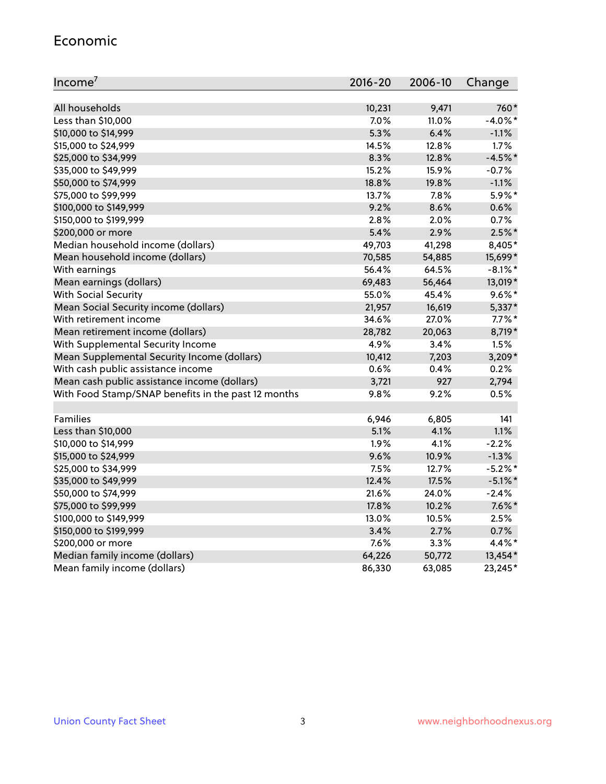#### Economic

| Income <sup>7</sup>                                 | 2016-20 | 2006-10 | Change     |
|-----------------------------------------------------|---------|---------|------------|
|                                                     |         |         |            |
| All households                                      | 10,231  | 9,471   | 760*       |
| Less than \$10,000                                  | 7.0%    | 11.0%   | $-4.0\%$ * |
| \$10,000 to \$14,999                                | 5.3%    | 6.4%    | $-1.1%$    |
| \$15,000 to \$24,999                                | 14.5%   | 12.8%   | 1.7%       |
| \$25,000 to \$34,999                                | 8.3%    | 12.8%   | $-4.5%$ *  |
| \$35,000 to \$49,999                                | 15.2%   | 15.9%   | $-0.7%$    |
| \$50,000 to \$74,999                                | 18.8%   | 19.8%   | $-1.1%$    |
| \$75,000 to \$99,999                                | 13.7%   | 7.8%    | 5.9%*      |
| \$100,000 to \$149,999                              | 9.2%    | 8.6%    | 0.6%       |
| \$150,000 to \$199,999                              | 2.8%    | 2.0%    | 0.7%       |
| \$200,000 or more                                   | 5.4%    | 2.9%    | $2.5\%$ *  |
| Median household income (dollars)                   | 49,703  | 41,298  | 8,405*     |
| Mean household income (dollars)                     | 70,585  | 54,885  | 15,699*    |
| With earnings                                       | 56.4%   | 64.5%   | $-8.1\%$ * |
| Mean earnings (dollars)                             | 69,483  | 56,464  | 13,019*    |
| <b>With Social Security</b>                         | 55.0%   | 45.4%   | $9.6\%$ *  |
| Mean Social Security income (dollars)               | 21,957  | 16,619  | 5,337*     |
| With retirement income                              | 34.6%   | 27.0%   | $7.7\%$ *  |
| Mean retirement income (dollars)                    | 28,782  | 20,063  | 8,719*     |
| With Supplemental Security Income                   | 4.9%    | $3.4\%$ | 1.5%       |
| Mean Supplemental Security Income (dollars)         | 10,412  | 7,203   | 3,209*     |
| With cash public assistance income                  | 0.6%    | 0.4%    | 0.2%       |
| Mean cash public assistance income (dollars)        | 3,721   | 927     | 2,794      |
| With Food Stamp/SNAP benefits in the past 12 months | 9.8%    | 9.2%    | 0.5%       |
|                                                     |         |         |            |
| Families                                            | 6,946   | 6,805   | 141        |
| Less than \$10,000                                  | 5.1%    | 4.1%    | 1.1%       |
| \$10,000 to \$14,999                                | 1.9%    | 4.1%    | $-2.2%$    |
| \$15,000 to \$24,999                                | 9.6%    | 10.9%   | $-1.3%$    |
| \$25,000 to \$34,999                                | 7.5%    | 12.7%   | $-5.2%$ *  |
| \$35,000 to \$49,999                                | 12.4%   | 17.5%   | $-5.1\%$ * |
| \$50,000 to \$74,999                                | 21.6%   | 24.0%   | $-2.4%$    |
| \$75,000 to \$99,999                                | 17.8%   | 10.2%   | $7.6\%$ *  |
| \$100,000 to \$149,999                              | 13.0%   | 10.5%   | 2.5%       |
| \$150,000 to \$199,999                              | 3.4%    | 2.7%    | 0.7%       |
| \$200,000 or more                                   | 7.6%    | 3.3%    | 4.4%*      |
| Median family income (dollars)                      | 64,226  | 50,772  | 13,454*    |
| Mean family income (dollars)                        | 86,330  | 63,085  | 23,245*    |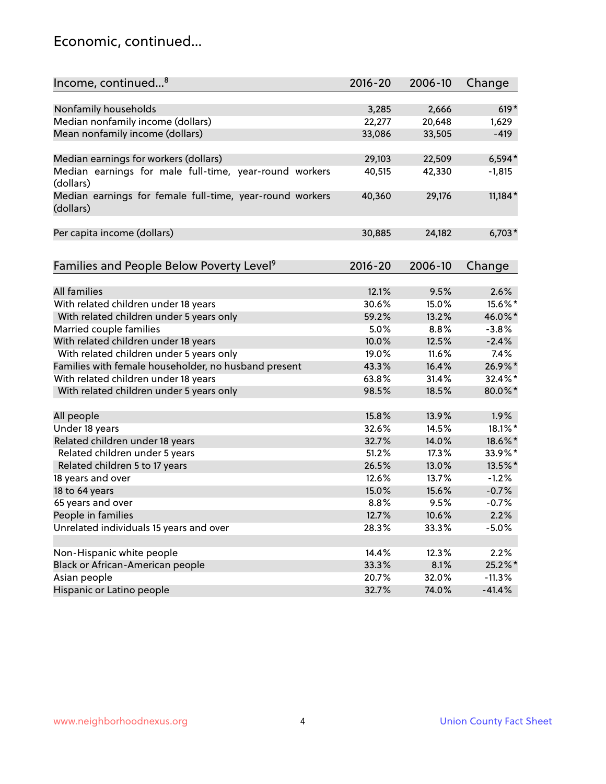### Economic, continued...

| Income, continued <sup>8</sup>                           | $2016 - 20$ | 2006-10 | Change    |
|----------------------------------------------------------|-------------|---------|-----------|
|                                                          |             |         |           |
| Nonfamily households                                     | 3,285       | 2,666   | $619*$    |
| Median nonfamily income (dollars)                        | 22,277      | 20,648  | 1,629     |
| Mean nonfamily income (dollars)                          | 33,086      | 33,505  | $-419$    |
|                                                          |             |         |           |
| Median earnings for workers (dollars)                    | 29,103      | 22,509  | $6,594*$  |
| Median earnings for male full-time, year-round workers   | 40,515      | 42,330  | $-1,815$  |
| (dollars)                                                |             |         |           |
| Median earnings for female full-time, year-round workers | 40,360      | 29,176  | $11,184*$ |
| (dollars)                                                |             |         |           |
|                                                          |             |         |           |
| Per capita income (dollars)                              | 30,885      | 24,182  | $6,703*$  |
|                                                          |             |         |           |
| Families and People Below Poverty Level <sup>9</sup>     | 2016-20     | 2006-10 | Change    |
|                                                          |             |         |           |
| <b>All families</b>                                      | 12.1%       | 9.5%    | 2.6%      |
| With related children under 18 years                     | 30.6%       | 15.0%   | 15.6%*    |
| With related children under 5 years only                 | 59.2%       | 13.2%   | 46.0%*    |
| Married couple families                                  | 5.0%        | 8.8%    | $-3.8%$   |
| With related children under 18 years                     | 10.0%       | 12.5%   | $-2.4%$   |
| With related children under 5 years only                 | 19.0%       | 11.6%   | 7.4%      |
| Families with female householder, no husband present     | 43.3%       | 16.4%   | 26.9%*    |
| With related children under 18 years                     | 63.8%       | 31.4%   | 32.4%*    |
| With related children under 5 years only                 | 98.5%       | 18.5%   | 80.0%*    |
|                                                          |             |         |           |
| All people                                               | 15.8%       | 13.9%   | 1.9%      |
| Under 18 years                                           | 32.6%       | 14.5%   | 18.1%*    |
| Related children under 18 years                          | 32.7%       | 14.0%   | 18.6%*    |
| Related children under 5 years                           | 51.2%       | 17.3%   | 33.9%*    |
| Related children 5 to 17 years                           | 26.5%       | 13.0%   | 13.5%*    |
| 18 years and over                                        | 12.6%       | 13.7%   | $-1.2%$   |
| 18 to 64 years                                           | 15.0%       | 15.6%   | $-0.7%$   |
| 65 years and over                                        | 8.8%        | 9.5%    | $-0.7%$   |
| People in families                                       | 12.7%       | 10.6%   | 2.2%      |
| Unrelated individuals 15 years and over                  | 28.3%       | 33.3%   | $-5.0%$   |
|                                                          |             |         |           |
| Non-Hispanic white people                                | 14.4%       | 12.3%   | 2.2%      |
| Black or African-American people                         | 33.3%       | 8.1%    | 25.2%*    |
| Asian people                                             | 20.7%       | 32.0%   | $-11.3%$  |
| Hispanic or Latino people                                | 32.7%       | 74.0%   | $-41.4%$  |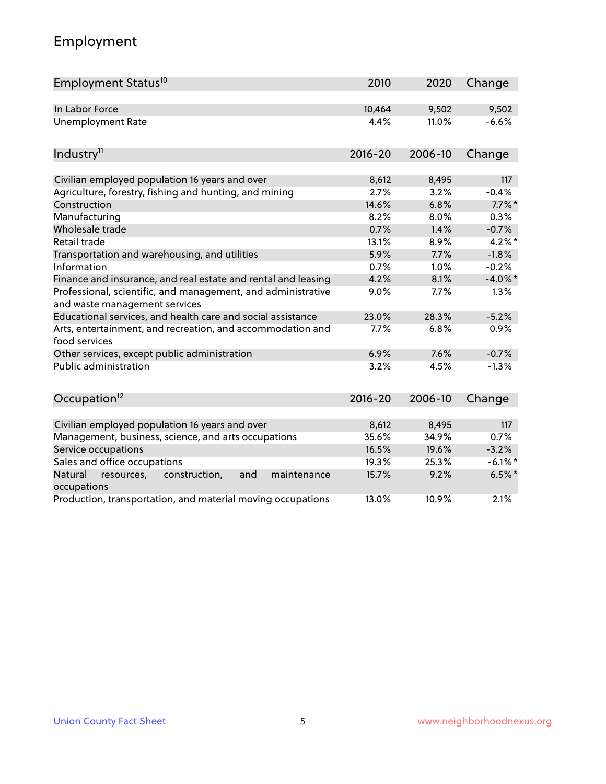# Employment

| Employment Status <sup>10</sup>                                                               | 2010        | 2020    | Change     |
|-----------------------------------------------------------------------------------------------|-------------|---------|------------|
| In Labor Force                                                                                | 10,464      | 9,502   | 9,502      |
| <b>Unemployment Rate</b>                                                                      | 4.4%        | 11.0%   | $-6.6%$    |
| Industry <sup>11</sup>                                                                        | $2016 - 20$ | 2006-10 | Change     |
| Civilian employed population 16 years and over                                                | 8,612       | 8,495   | 117        |
| Agriculture, forestry, fishing and hunting, and mining                                        | 2.7%        | 3.2%    | $-0.4%$    |
| Construction                                                                                  | 14.6%       | 6.8%    | $7.7\%$ *  |
| Manufacturing                                                                                 | 8.2%        | 8.0%    | 0.3%       |
| Wholesale trade                                                                               | 0.7%        | 1.4%    | $-0.7%$    |
| Retail trade                                                                                  | 13.1%       | 8.9%    | $4.2\%$ *  |
| Transportation and warehousing, and utilities                                                 | 5.9%        | 7.7%    | $-1.8%$    |
| Information                                                                                   | 0.7%        | 1.0%    | $-0.2%$    |
| Finance and insurance, and real estate and rental and leasing                                 | 4.2%        | 8.1%    | $-4.0\%$ * |
| Professional, scientific, and management, and administrative<br>and waste management services | 9.0%        | 7.7%    | 1.3%       |
| Educational services, and health care and social assistance                                   | 23.0%       | 28.3%   | $-5.2%$    |
| Arts, entertainment, and recreation, and accommodation and<br>food services                   | 7.7%        | 6.8%    | 0.9%       |
| Other services, except public administration                                                  | 6.9%        | 7.6%    | $-0.7%$    |
| <b>Public administration</b>                                                                  | 3.2%        | 4.5%    | $-1.3%$    |
| Occupation <sup>12</sup>                                                                      | $2016 - 20$ | 2006-10 | Change     |
|                                                                                               |             |         |            |
| Civilian employed population 16 years and over                                                | 8,612       | 8,495   | 117        |
| Management, business, science, and arts occupations                                           | 35.6%       | 34.9%   | 0.7%       |
| Service occupations                                                                           | 16.5%       | 19.6%   | $-3.2%$    |
| Sales and office occupations                                                                  | 19.3%       | 25.3%   | $-6.1\%$ * |
| Natural<br>construction,<br>and<br>maintenance<br>resources,<br>occupations                   | 15.7%       | 9.2%    | $6.5%$ *   |
| Production, transportation, and material moving occupations                                   | 13.0%       | 10.9%   | 2.1%       |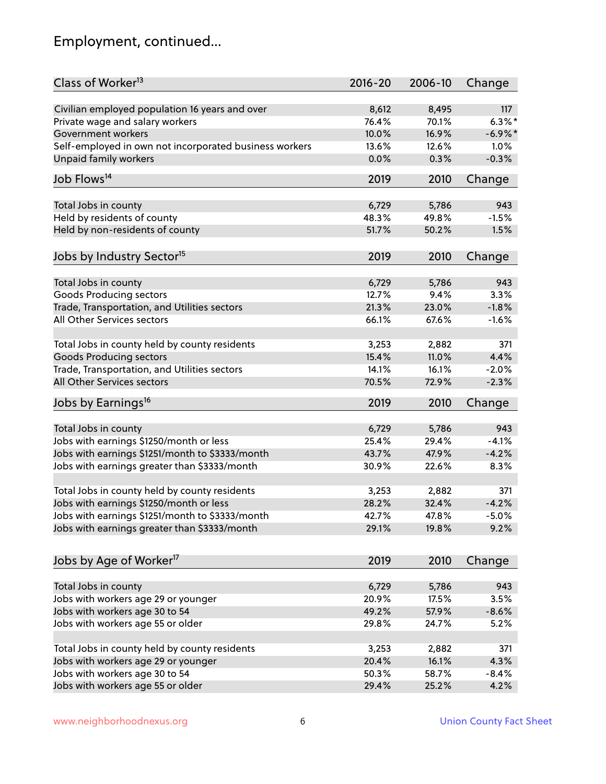# Employment, continued...

| Class of Worker <sup>13</sup>                          | $2016 - 20$ | 2006-10 | Change     |
|--------------------------------------------------------|-------------|---------|------------|
| Civilian employed population 16 years and over         | 8,612       | 8,495   | 117        |
| Private wage and salary workers                        | 76.4%       | 70.1%   | $6.3\%$ *  |
| Government workers                                     | 10.0%       | 16.9%   | $-6.9\%$ * |
| Self-employed in own not incorporated business workers | 13.6%       | 12.6%   | 1.0%       |
| Unpaid family workers                                  | 0.0%        | 0.3%    | $-0.3%$    |
| Job Flows <sup>14</sup>                                | 2019        | 2010    | Change     |
|                                                        |             |         |            |
| Total Jobs in county                                   | 6,729       | 5,786   | 943        |
| Held by residents of county                            | 48.3%       | 49.8%   | $-1.5%$    |
| Held by non-residents of county                        | 51.7%       | 50.2%   | 1.5%       |
| Jobs by Industry Sector <sup>15</sup>                  | 2019        | 2010    | Change     |
| Total Jobs in county                                   | 6,729       | 5,786   | 943        |
| Goods Producing sectors                                | 12.7%       | 9.4%    | 3.3%       |
| Trade, Transportation, and Utilities sectors           | 21.3%       | 23.0%   | $-1.8%$    |
| All Other Services sectors                             | 66.1%       | 67.6%   | $-1.6%$    |
|                                                        |             |         |            |
| Total Jobs in county held by county residents          | 3,253       | 2,882   | 371        |
| <b>Goods Producing sectors</b>                         | 15.4%       | 11.0%   | 4.4%       |
| Trade, Transportation, and Utilities sectors           | 14.1%       | 16.1%   | $-2.0%$    |
| All Other Services sectors                             | 70.5%       | 72.9%   | $-2.3%$    |
| Jobs by Earnings <sup>16</sup>                         | 2019        | 2010    | Change     |
|                                                        |             |         |            |
| Total Jobs in county                                   | 6,729       | 5,786   | 943        |
| Jobs with earnings \$1250/month or less                | 25.4%       | 29.4%   | $-4.1%$    |
| Jobs with earnings \$1251/month to \$3333/month        | 43.7%       | 47.9%   | $-4.2%$    |
| Jobs with earnings greater than \$3333/month           | 30.9%       | 22.6%   | 8.3%       |
| Total Jobs in county held by county residents          | 3,253       | 2,882   | 371        |
| Jobs with earnings \$1250/month or less                | 28.2%       | 32.4%   | $-4.2%$    |
| Jobs with earnings \$1251/month to \$3333/month        | 42.7%       | 47.8%   | $-5.0\%$   |
| Jobs with earnings greater than \$3333/month           | 29.1%       | 19.8%   | 9.2%       |
| Jobs by Age of Worker <sup>17</sup>                    | 2019        | 2010    | Change     |
|                                                        |             |         |            |
| Total Jobs in county                                   | 6,729       | 5,786   | 943        |
| Jobs with workers age 29 or younger                    | 20.9%       | 17.5%   | 3.5%       |
| Jobs with workers age 30 to 54                         | 49.2%       | 57.9%   | $-8.6%$    |
| Jobs with workers age 55 or older                      | 29.8%       | 24.7%   | 5.2%       |
|                                                        |             |         |            |
| Total Jobs in county held by county residents          | 3,253       | 2,882   | 371        |
| Jobs with workers age 29 or younger                    | 20.4%       | 16.1%   | 4.3%       |
| Jobs with workers age 30 to 54                         | 50.3%       | 58.7%   | $-8.4%$    |
| Jobs with workers age 55 or older                      | 29.4%       | 25.2%   | 4.2%       |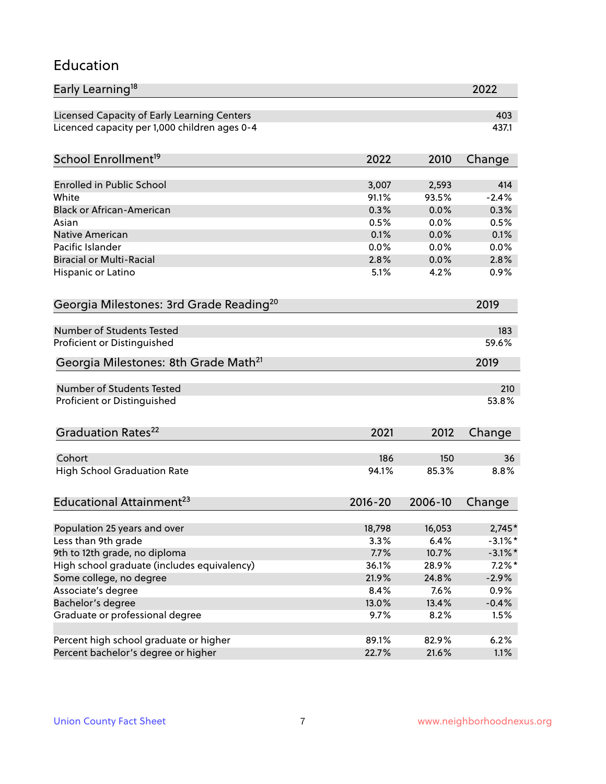#### Education

| Early Learning <sup>18</sup>                        |                |         | 2022       |
|-----------------------------------------------------|----------------|---------|------------|
| Licensed Capacity of Early Learning Centers         |                |         | 403        |
| Licenced capacity per 1,000 children ages 0-4       |                |         | 437.1      |
|                                                     |                |         |            |
| School Enrollment <sup>19</sup>                     | 2022           | 2010    | Change     |
| <b>Enrolled in Public School</b>                    | 3,007          | 2,593   | 414        |
| White                                               | 91.1%          | 93.5%   | $-2.4%$    |
| <b>Black or African-American</b>                    | 0.3%           | 0.0%    | 0.3%       |
| Asian                                               | 0.5%           | 0.0%    | 0.5%       |
| <b>Native American</b>                              | 0.1%           | 0.0%    | 0.1%       |
| Pacific Islander                                    | 0.0%           | 0.0%    | 0.0%       |
| <b>Biracial or Multi-Racial</b>                     | 2.8%           | 0.0%    | 2.8%       |
| Hispanic or Latino                                  | 5.1%           | 4.2%    | 0.9%       |
| Georgia Milestones: 3rd Grade Reading <sup>20</sup> |                |         | 2019       |
|                                                     |                |         |            |
| Number of Students Tested                           |                |         | 183        |
| Proficient or Distinguished                         |                |         | 59.6%      |
| Georgia Milestones: 8th Grade Math <sup>21</sup>    |                |         | 2019       |
| <b>Number of Students Tested</b>                    |                |         | 210        |
| Proficient or Distinguished                         |                |         | 53.8%      |
|                                                     |                |         |            |
| Graduation Rates <sup>22</sup>                      | 2021           | 2012    | Change     |
|                                                     |                |         |            |
| Cohort                                              | 186            | 150     | 36         |
| <b>High School Graduation Rate</b>                  | 94.1%          | 85.3%   | 8.8%       |
| Educational Attainment <sup>23</sup>                | $2016 - 20$    | 2006-10 | Change     |
|                                                     |                |         |            |
| Population 25 years and over                        | 18,798         | 16,053  | $2,745*$   |
| Less than 9th grade                                 | 3.3%<br>7.7%   | 6.4%    | $-3.1\%$ * |
| 9th to 12th grade, no diploma                       |                | 10.7%   | $-3.1\%$ * |
| High school graduate (includes equivalency)         | 36.1%<br>21.9% | 28.9%   | $7.2\%$ *  |
| Some college, no degree                             |                | 24.8%   | $-2.9%$    |
| Associate's degree                                  | 8.4%           | 7.6%    | 0.9%       |
| Bachelor's degree                                   | 13.0%          | 13.4%   | $-0.4%$    |
| Graduate or professional degree                     | 9.7%           | 8.2%    | 1.5%       |
| Percent high school graduate or higher              | 89.1%          | 82.9%   | 6.2%       |
| Percent bachelor's degree or higher                 | 22.7%          | 21.6%   | 1.1%       |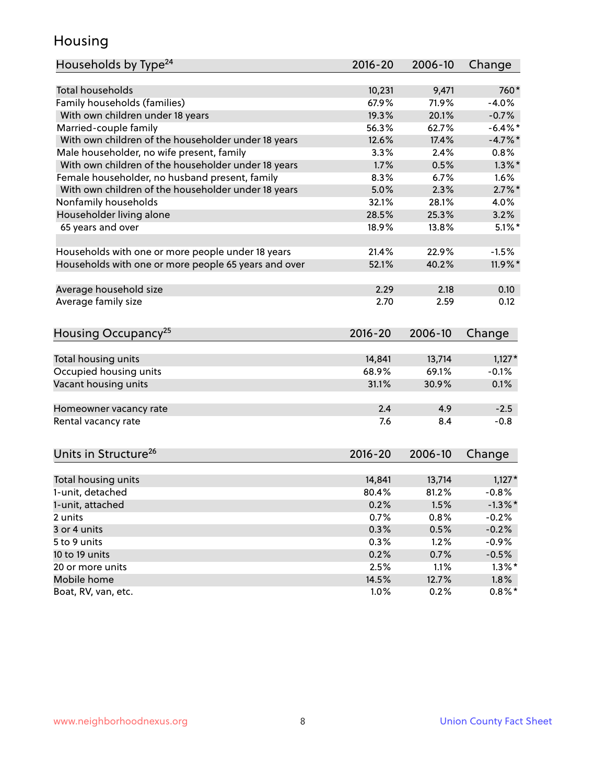### Housing

| <b>Total households</b><br>760*<br>10,231<br>9,471<br>Family households (families)<br>67.9%<br>71.9%<br>$-4.0%$<br>With own children under 18 years<br>19.3%<br>20.1%<br>$-0.7%$<br>Married-couple family<br>56.3%<br>62.7%<br>$-6.4\%$ *<br>With own children of the householder under 18 years<br>12.6%<br>17.4%<br>$-4.7%$<br>Male householder, no wife present, family<br>2.4%<br>3.3%<br>$0.8\%$<br>With own children of the householder under 18 years<br>1.7%<br>$1.3\%$ *<br>0.5%<br>Female householder, no husband present, family<br>8.3%<br>6.7%<br>1.6%<br>With own children of the householder under 18 years<br>5.0%<br>$2.7\%$ *<br>2.3%<br>Nonfamily households<br>32.1%<br>28.1%<br>4.0%<br>Householder living alone<br>28.5%<br>25.3%<br>3.2%<br>65 years and over<br>18.9%<br>$5.1\%$ *<br>13.8%<br>21.4%<br>22.9%<br>$-1.5%$<br>Households with one or more people under 18 years<br>Households with one or more people 65 years and over<br>52.1%<br>40.2%<br>11.9%*<br>Average household size<br>0.10<br>2.29<br>2.18<br>Average family size<br>2.70<br>2.59<br>0.12<br>Housing Occupancy <sup>25</sup><br>$2016 - 20$<br>Change<br>2006-10<br>Total housing units<br>14,841<br>13,714<br>$1,127*$<br>Occupied housing units<br>68.9%<br>69.1%<br>$-0.1%$<br>Vacant housing units<br>31.1%<br>30.9%<br>0.1% | Households by Type <sup>24</sup> | 2016-20 | 2006-10 | Change |
|-----------------------------------------------------------------------------------------------------------------------------------------------------------------------------------------------------------------------------------------------------------------------------------------------------------------------------------------------------------------------------------------------------------------------------------------------------------------------------------------------------------------------------------------------------------------------------------------------------------------------------------------------------------------------------------------------------------------------------------------------------------------------------------------------------------------------------------------------------------------------------------------------------------------------------------------------------------------------------------------------------------------------------------------------------------------------------------------------------------------------------------------------------------------------------------------------------------------------------------------------------------------------------------------------------------------------------------|----------------------------------|---------|---------|--------|
|                                                                                                                                                                                                                                                                                                                                                                                                                                                                                                                                                                                                                                                                                                                                                                                                                                                                                                                                                                                                                                                                                                                                                                                                                                                                                                                                   |                                  |         |         |        |
|                                                                                                                                                                                                                                                                                                                                                                                                                                                                                                                                                                                                                                                                                                                                                                                                                                                                                                                                                                                                                                                                                                                                                                                                                                                                                                                                   |                                  |         |         |        |
|                                                                                                                                                                                                                                                                                                                                                                                                                                                                                                                                                                                                                                                                                                                                                                                                                                                                                                                                                                                                                                                                                                                                                                                                                                                                                                                                   |                                  |         |         |        |
|                                                                                                                                                                                                                                                                                                                                                                                                                                                                                                                                                                                                                                                                                                                                                                                                                                                                                                                                                                                                                                                                                                                                                                                                                                                                                                                                   |                                  |         |         |        |
|                                                                                                                                                                                                                                                                                                                                                                                                                                                                                                                                                                                                                                                                                                                                                                                                                                                                                                                                                                                                                                                                                                                                                                                                                                                                                                                                   |                                  |         |         |        |
|                                                                                                                                                                                                                                                                                                                                                                                                                                                                                                                                                                                                                                                                                                                                                                                                                                                                                                                                                                                                                                                                                                                                                                                                                                                                                                                                   |                                  |         |         |        |
|                                                                                                                                                                                                                                                                                                                                                                                                                                                                                                                                                                                                                                                                                                                                                                                                                                                                                                                                                                                                                                                                                                                                                                                                                                                                                                                                   |                                  |         |         |        |
|                                                                                                                                                                                                                                                                                                                                                                                                                                                                                                                                                                                                                                                                                                                                                                                                                                                                                                                                                                                                                                                                                                                                                                                                                                                                                                                                   |                                  |         |         |        |
|                                                                                                                                                                                                                                                                                                                                                                                                                                                                                                                                                                                                                                                                                                                                                                                                                                                                                                                                                                                                                                                                                                                                                                                                                                                                                                                                   |                                  |         |         |        |
|                                                                                                                                                                                                                                                                                                                                                                                                                                                                                                                                                                                                                                                                                                                                                                                                                                                                                                                                                                                                                                                                                                                                                                                                                                                                                                                                   |                                  |         |         |        |
|                                                                                                                                                                                                                                                                                                                                                                                                                                                                                                                                                                                                                                                                                                                                                                                                                                                                                                                                                                                                                                                                                                                                                                                                                                                                                                                                   |                                  |         |         |        |
|                                                                                                                                                                                                                                                                                                                                                                                                                                                                                                                                                                                                                                                                                                                                                                                                                                                                                                                                                                                                                                                                                                                                                                                                                                                                                                                                   |                                  |         |         |        |
|                                                                                                                                                                                                                                                                                                                                                                                                                                                                                                                                                                                                                                                                                                                                                                                                                                                                                                                                                                                                                                                                                                                                                                                                                                                                                                                                   |                                  |         |         |        |
|                                                                                                                                                                                                                                                                                                                                                                                                                                                                                                                                                                                                                                                                                                                                                                                                                                                                                                                                                                                                                                                                                                                                                                                                                                                                                                                                   |                                  |         |         |        |
|                                                                                                                                                                                                                                                                                                                                                                                                                                                                                                                                                                                                                                                                                                                                                                                                                                                                                                                                                                                                                                                                                                                                                                                                                                                                                                                                   |                                  |         |         |        |
|                                                                                                                                                                                                                                                                                                                                                                                                                                                                                                                                                                                                                                                                                                                                                                                                                                                                                                                                                                                                                                                                                                                                                                                                                                                                                                                                   |                                  |         |         |        |
|                                                                                                                                                                                                                                                                                                                                                                                                                                                                                                                                                                                                                                                                                                                                                                                                                                                                                                                                                                                                                                                                                                                                                                                                                                                                                                                                   |                                  |         |         |        |
|                                                                                                                                                                                                                                                                                                                                                                                                                                                                                                                                                                                                                                                                                                                                                                                                                                                                                                                                                                                                                                                                                                                                                                                                                                                                                                                                   |                                  |         |         |        |
|                                                                                                                                                                                                                                                                                                                                                                                                                                                                                                                                                                                                                                                                                                                                                                                                                                                                                                                                                                                                                                                                                                                                                                                                                                                                                                                                   |                                  |         |         |        |
|                                                                                                                                                                                                                                                                                                                                                                                                                                                                                                                                                                                                                                                                                                                                                                                                                                                                                                                                                                                                                                                                                                                                                                                                                                                                                                                                   |                                  |         |         |        |
|                                                                                                                                                                                                                                                                                                                                                                                                                                                                                                                                                                                                                                                                                                                                                                                                                                                                                                                                                                                                                                                                                                                                                                                                                                                                                                                                   |                                  |         |         |        |
|                                                                                                                                                                                                                                                                                                                                                                                                                                                                                                                                                                                                                                                                                                                                                                                                                                                                                                                                                                                                                                                                                                                                                                                                                                                                                                                                   |                                  |         |         |        |
|                                                                                                                                                                                                                                                                                                                                                                                                                                                                                                                                                                                                                                                                                                                                                                                                                                                                                                                                                                                                                                                                                                                                                                                                                                                                                                                                   |                                  |         |         |        |
|                                                                                                                                                                                                                                                                                                                                                                                                                                                                                                                                                                                                                                                                                                                                                                                                                                                                                                                                                                                                                                                                                                                                                                                                                                                                                                                                   |                                  |         |         |        |
|                                                                                                                                                                                                                                                                                                                                                                                                                                                                                                                                                                                                                                                                                                                                                                                                                                                                                                                                                                                                                                                                                                                                                                                                                                                                                                                                   |                                  |         |         |        |
|                                                                                                                                                                                                                                                                                                                                                                                                                                                                                                                                                                                                                                                                                                                                                                                                                                                                                                                                                                                                                                                                                                                                                                                                                                                                                                                                   |                                  |         |         |        |
| 2.4<br>4.9<br>$-2.5$<br>Homeowner vacancy rate                                                                                                                                                                                                                                                                                                                                                                                                                                                                                                                                                                                                                                                                                                                                                                                                                                                                                                                                                                                                                                                                                                                                                                                                                                                                                    |                                  |         |         |        |
| Rental vacancy rate<br>7.6<br>8.4<br>$-0.8$                                                                                                                                                                                                                                                                                                                                                                                                                                                                                                                                                                                                                                                                                                                                                                                                                                                                                                                                                                                                                                                                                                                                                                                                                                                                                       |                                  |         |         |        |
|                                                                                                                                                                                                                                                                                                                                                                                                                                                                                                                                                                                                                                                                                                                                                                                                                                                                                                                                                                                                                                                                                                                                                                                                                                                                                                                                   |                                  |         |         |        |
| Units in Structure <sup>26</sup><br>$2016 - 20$<br>2006-10<br>Change                                                                                                                                                                                                                                                                                                                                                                                                                                                                                                                                                                                                                                                                                                                                                                                                                                                                                                                                                                                                                                                                                                                                                                                                                                                              |                                  |         |         |        |
|                                                                                                                                                                                                                                                                                                                                                                                                                                                                                                                                                                                                                                                                                                                                                                                                                                                                                                                                                                                                                                                                                                                                                                                                                                                                                                                                   |                                  |         |         |        |
| 14,841<br>13,714<br>$1,127*$<br>Total housing units                                                                                                                                                                                                                                                                                                                                                                                                                                                                                                                                                                                                                                                                                                                                                                                                                                                                                                                                                                                                                                                                                                                                                                                                                                                                               |                                  |         |         |        |
| 1-unit, detached<br>80.4%<br>81.2%<br>$-0.8%$                                                                                                                                                                                                                                                                                                                                                                                                                                                                                                                                                                                                                                                                                                                                                                                                                                                                                                                                                                                                                                                                                                                                                                                                                                                                                     |                                  |         |         |        |
| 1-unit, attached<br>0.2%<br>1.5%<br>$-1.3\%$ *                                                                                                                                                                                                                                                                                                                                                                                                                                                                                                                                                                                                                                                                                                                                                                                                                                                                                                                                                                                                                                                                                                                                                                                                                                                                                    |                                  |         |         |        |
| 0.7%<br>0.8%<br>$-0.2%$<br>2 units                                                                                                                                                                                                                                                                                                                                                                                                                                                                                                                                                                                                                                                                                                                                                                                                                                                                                                                                                                                                                                                                                                                                                                                                                                                                                                |                                  |         |         |        |
| 0.3%<br>0.5%<br>$-0.2%$                                                                                                                                                                                                                                                                                                                                                                                                                                                                                                                                                                                                                                                                                                                                                                                                                                                                                                                                                                                                                                                                                                                                                                                                                                                                                                           | 3 or 4 units                     |         |         |        |
| 5 to 9 units<br>0.3%<br>1.2%<br>$-0.9%$                                                                                                                                                                                                                                                                                                                                                                                                                                                                                                                                                                                                                                                                                                                                                                                                                                                                                                                                                                                                                                                                                                                                                                                                                                                                                           |                                  |         |         |        |
| 10 to 19 units<br>0.2%<br>0.7%<br>$-0.5%$                                                                                                                                                                                                                                                                                                                                                                                                                                                                                                                                                                                                                                                                                                                                                                                                                                                                                                                                                                                                                                                                                                                                                                                                                                                                                         |                                  |         |         |        |
| 2.5%<br>1.1%<br>$1.3\%$ *<br>20 or more units                                                                                                                                                                                                                                                                                                                                                                                                                                                                                                                                                                                                                                                                                                                                                                                                                                                                                                                                                                                                                                                                                                                                                                                                                                                                                     |                                  |         |         |        |
| Mobile home<br>14.5%<br>12.7%<br>1.8%                                                                                                                                                                                                                                                                                                                                                                                                                                                                                                                                                                                                                                                                                                                                                                                                                                                                                                                                                                                                                                                                                                                                                                                                                                                                                             |                                  |         |         |        |
| Boat, RV, van, etc.<br>1.0%<br>0.2%<br>$0.8\%$ *                                                                                                                                                                                                                                                                                                                                                                                                                                                                                                                                                                                                                                                                                                                                                                                                                                                                                                                                                                                                                                                                                                                                                                                                                                                                                  |                                  |         |         |        |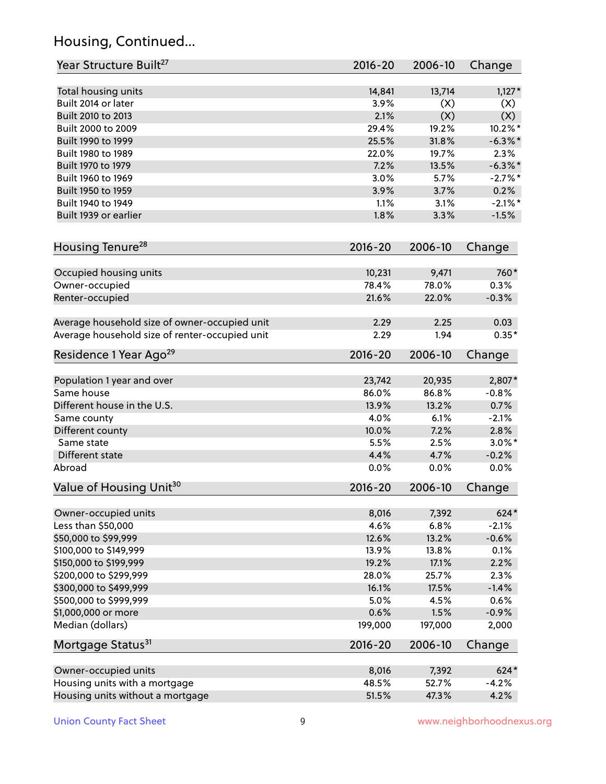# Housing, Continued...

| Year Structure Built <sup>27</sup>             | 2016-20     | 2006-10 | Change     |
|------------------------------------------------|-------------|---------|------------|
| Total housing units                            | 14,841      | 13,714  | $1,127*$   |
| Built 2014 or later                            | 3.9%        | (X)     | (X)        |
| Built 2010 to 2013                             | 2.1%        | (X)     | (X)        |
| Built 2000 to 2009                             | 29.4%       | 19.2%   | $10.2\%$ * |
| Built 1990 to 1999                             | 25.5%       | 31.8%   | $-6.3\%$ * |
| Built 1980 to 1989                             | 22.0%       | 19.7%   | 2.3%       |
| Built 1970 to 1979                             | 7.2%        | 13.5%   | $-6.3\%$ * |
| Built 1960 to 1969                             | 3.0%        | 5.7%    | $-2.7\%$ * |
| Built 1950 to 1959                             | 3.9%        | 3.7%    | 0.2%       |
| Built 1940 to 1949                             | 1.1%        | 3.1%    | $-2.1\%$ * |
| Built 1939 or earlier                          | 1.8%        | 3.3%    | $-1.5%$    |
| Housing Tenure <sup>28</sup>                   | 2016-20     | 2006-10 | Change     |
|                                                |             |         |            |
| Occupied housing units                         | 10,231      | 9,471   | 760*       |
| Owner-occupied                                 | 78.4%       | 78.0%   | 0.3%       |
| Renter-occupied                                | 21.6%       | 22.0%   | $-0.3%$    |
| Average household size of owner-occupied unit  | 2.29        | 2.25    | 0.03       |
| Average household size of renter-occupied unit | 2.29        | 1.94    | $0.35*$    |
| Residence 1 Year Ago <sup>29</sup>             | 2016-20     | 2006-10 | Change     |
| Population 1 year and over                     | 23,742      | 20,935  | 2,807*     |
| Same house                                     | 86.0%       | 86.8%   | $-0.8%$    |
| Different house in the U.S.                    | 13.9%       | 13.2%   | 0.7%       |
| Same county                                    | 4.0%        | 6.1%    | $-2.1%$    |
| Different county                               | 10.0%       | 7.2%    | 2.8%       |
| Same state                                     | 5.5%        | 2.5%    | $3.0\%$ *  |
| Different state                                | 4.4%        | 4.7%    | $-0.2%$    |
| Abroad                                         | 0.0%        | 0.0%    | 0.0%       |
|                                                |             |         |            |
| Value of Housing Unit <sup>30</sup>            | 2016-20     | 2006-10 | Change     |
| Owner-occupied units                           | 8,016       | 7,392   | 624*       |
| Less than \$50,000                             | 4.6%        | 6.8%    | $-2.1%$    |
| \$50,000 to \$99,999                           | 12.6%       | 13.2%   | $-0.6%$    |
| \$100,000 to \$149,999                         | 13.9%       | 13.8%   | 0.1%       |
| \$150,000 to \$199,999                         | 19.2%       | 17.1%   | 2.2%       |
| \$200,000 to \$299,999                         | 28.0%       | 25.7%   | 2.3%       |
| \$300,000 to \$499,999                         | 16.1%       | 17.5%   | $-1.4%$    |
| \$500,000 to \$999,999                         | 5.0%        | 4.5%    | 0.6%       |
| \$1,000,000 or more                            | 0.6%        | 1.5%    | $-0.9%$    |
| Median (dollars)                               | 199,000     | 197,000 | 2,000      |
| Mortgage Status <sup>31</sup>                  | $2016 - 20$ | 2006-10 | Change     |
| Owner-occupied units                           | 8,016       | 7,392   | 624*       |
| Housing units with a mortgage                  | 48.5%       | 52.7%   | $-4.2%$    |
| Housing units without a mortgage               | 51.5%       | 47.3%   | 4.2%       |
|                                                |             |         |            |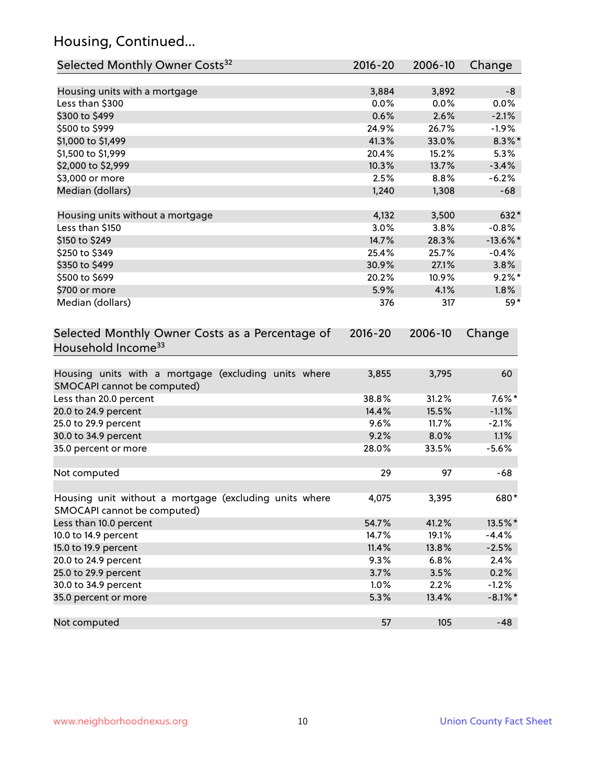# Housing, Continued...

| Selected Monthly Owner Costs <sup>32</sup>                                            | 2016-20     | 2006-10 | Change      |
|---------------------------------------------------------------------------------------|-------------|---------|-------------|
| Housing units with a mortgage                                                         | 3,884       | 3,892   | -8          |
| Less than \$300                                                                       | 0.0%        | 0.0%    | 0.0%        |
| \$300 to \$499                                                                        | 0.6%        | 2.6%    | $-2.1%$     |
| \$500 to \$999                                                                        | 24.9%       | 26.7%   | $-1.9%$     |
| \$1,000 to \$1,499                                                                    | 41.3%       | 33.0%   | $8.3\%$ *   |
| \$1,500 to \$1,999                                                                    | 20.4%       | 15.2%   | 5.3%        |
| \$2,000 to \$2,999                                                                    | 10.3%       | 13.7%   | $-3.4%$     |
| \$3,000 or more                                                                       | 2.5%        | 8.8%    | $-6.2%$     |
| Median (dollars)                                                                      | 1,240       | 1,308   | $-68$       |
| Housing units without a mortgage                                                      | 4,132       | 3,500   | 632*        |
| Less than \$150                                                                       | 3.0%        | 3.8%    | $-0.8%$     |
| \$150 to \$249                                                                        | 14.7%       | 28.3%   | $-13.6\%$ * |
| \$250 to \$349                                                                        | 25.4%       | 25.7%   | $-0.4%$     |
| \$350 to \$499                                                                        | 30.9%       | 27.1%   | 3.8%        |
| \$500 to \$699                                                                        | 20.2%       | 10.9%   | $9.2\%$ *   |
| \$700 or more                                                                         | 5.9%        | 4.1%    | 1.8%        |
| Median (dollars)                                                                      | 376         | 317     | 59*         |
| Selected Monthly Owner Costs as a Percentage of<br>Household Income <sup>33</sup>     | $2016 - 20$ | 2006-10 | Change      |
| Housing units with a mortgage (excluding units where<br>SMOCAPI cannot be computed)   | 3,855       | 3,795   | 60          |
| Less than 20.0 percent                                                                | 38.8%       | 31.2%   | $7.6\%$ *   |
| 20.0 to 24.9 percent                                                                  | 14.4%       | 15.5%   | $-1.1%$     |
| 25.0 to 29.9 percent                                                                  | 9.6%        | 11.7%   | $-2.1%$     |
| 30.0 to 34.9 percent                                                                  | 9.2%        | 8.0%    | 1.1%        |
| 35.0 percent or more                                                                  | 28.0%       | 33.5%   | $-5.6%$     |
| Not computed                                                                          | 29          | 97      | $-68$       |
| Housing unit without a mortgage (excluding units where<br>SMOCAPI cannot be computed) | 4,075       | 3,395   | 680*        |
| Less than 10.0 percent                                                                | 54.7%       | 41.2%   | 13.5%*      |
| 10.0 to 14.9 percent                                                                  | 14.7%       | 19.1%   | $-4.4%$     |
| 15.0 to 19.9 percent                                                                  | 11.4%       | 13.8%   | $-2.5%$     |
| 20.0 to 24.9 percent                                                                  | 9.3%        | 6.8%    | 2.4%        |
| 25.0 to 29.9 percent                                                                  | 3.7%        | 3.5%    | 0.2%        |
| 30.0 to 34.9 percent                                                                  | 1.0%        | 2.2%    | $-1.2%$     |
| 35.0 percent or more                                                                  | 5.3%        | 13.4%   | $-8.1\%$ *  |
| Not computed                                                                          | 57          | 105     | $-48$       |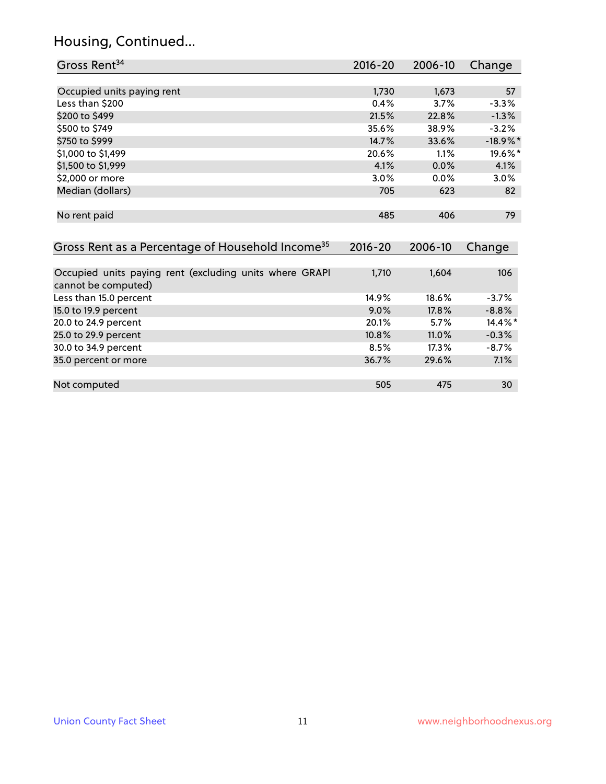# Housing, Continued...

| Gross Rent <sup>34</sup>                                               | 2016-20     | 2006-10 | Change      |
|------------------------------------------------------------------------|-------------|---------|-------------|
|                                                                        |             |         |             |
| Occupied units paying rent                                             | 1,730       | 1,673   | 57          |
| Less than \$200                                                        | 0.4%        | 3.7%    | $-3.3%$     |
| \$200 to \$499                                                         | 21.5%       | 22.8%   | $-1.3%$     |
| \$500 to \$749                                                         | 35.6%       | 38.9%   | $-3.2%$     |
| \$750 to \$999                                                         | 14.7%       | 33.6%   | $-18.9\%$ * |
| \$1,000 to \$1,499                                                     | 20.6%       | 1.1%    | 19.6%*      |
| \$1,500 to \$1,999                                                     | 4.1%        | 0.0%    | 4.1%        |
| \$2,000 or more                                                        | $3.0\%$     | $0.0\%$ | $3.0\%$     |
| Median (dollars)                                                       | 705         | 623     | 82          |
|                                                                        |             |         |             |
| No rent paid                                                           | 485         | 406     | 79          |
|                                                                        |             |         |             |
| Gross Rent as a Percentage of Household Income <sup>35</sup>           | $2016 - 20$ | 2006-10 | Change      |
|                                                                        |             |         |             |
| Occupied units paying rent (excluding units where GRAPI<br>المصدر مصمص | 1,710       | 1,604   | 106         |

| cannot be computed)    |         |         |            |
|------------------------|---------|---------|------------|
| Less than 15.0 percent | 14.9%   | 18.6%   | $-3.7\%$   |
| 15.0 to 19.9 percent   | $9.0\%$ | 17.8%   | $-8.8%$    |
| 20.0 to 24.9 percent   | 20.1%   | $5.7\%$ | $14.4\%$ * |
| 25.0 to 29.9 percent   | 10.8%   | 11.0%   | $-0.3%$    |
| 30.0 to 34.9 percent   | 8.5%    | 17.3%   | $-8.7%$    |
| 35.0 percent or more   | 36.7%   | 29.6%   | 7.1%       |
|                        |         |         |            |
| Not computed           | 505     | 475     | 30         |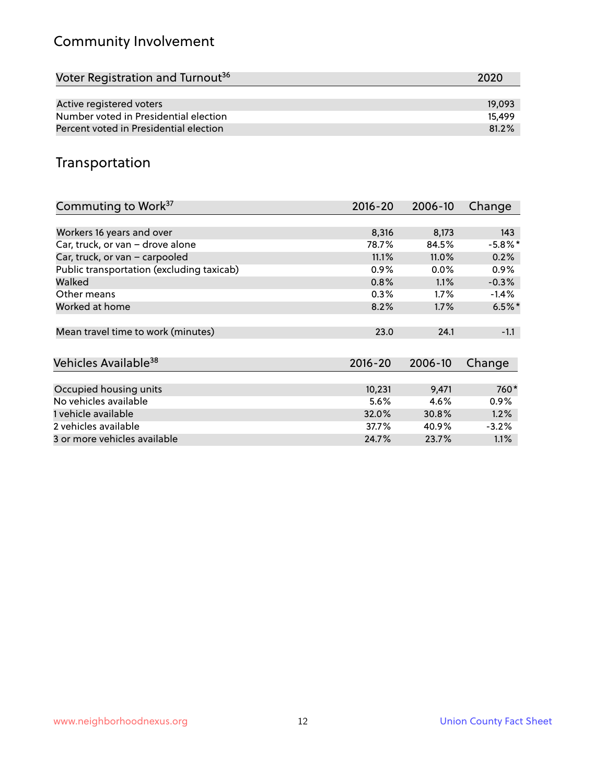# Community Involvement

| Voter Registration and Turnout <sup>36</sup> | 2020   |
|----------------------------------------------|--------|
|                                              |        |
| Active registered voters                     | 19,093 |
| Number voted in Presidential election        | 15.499 |
| Percent voted in Presidential election       | 81.2%  |

### Transportation

| Commuting to Work <sup>37</sup>           | 2016-20     | 2006-10 | Change               |
|-------------------------------------------|-------------|---------|----------------------|
|                                           |             |         |                      |
| Workers 16 years and over                 | 8,316       | 8,173   | 143                  |
| Car, truck, or van - drove alone          | 78.7%       | 84.5%   | $-5.8\%$ *           |
| Car, truck, or van - carpooled            | 11.1%       | 11.0%   | 0.2%                 |
| Public transportation (excluding taxicab) | 0.9%        | $0.0\%$ | $0.9\%$              |
| Walked                                    | 0.8%        | 1.1%    | $-0.3%$              |
| Other means                               | 0.3%        | $1.7\%$ | $-1.4\%$             |
| Worked at home                            | 8.2%        | 1.7%    | $6.5\%$ <sup>*</sup> |
|                                           |             |         |                      |
| Mean travel time to work (minutes)        | 23.0        | 24.1    | $-1.1$               |
|                                           |             |         |                      |
| Vehicles Available <sup>38</sup>          | $2016 - 20$ | 2006-10 | Change               |
|                                           |             |         |                      |
| Occupied housing units                    | 10,231      | 9,471   | 760*                 |
| No vehicles available                     | 5.6%        | 4.6%    | $0.9\%$              |
| 1 vehicle available                       | 32.0%       | 30.8%   | 1.2%                 |
| 2 vehicles available                      | 37.7%       | 40.9%   | $-3.2%$              |
| 3 or more vehicles available              | 24.7%       | 23.7%   | $1.1\%$              |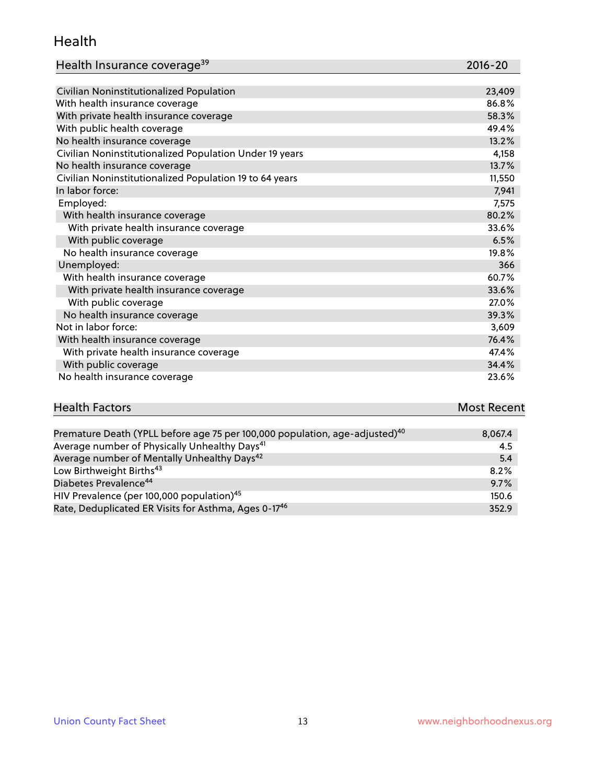#### Health

| Health Insurance coverage <sup>39</sup> | 2016-20 |
|-----------------------------------------|---------|
|-----------------------------------------|---------|

| Civilian Noninstitutionalized Population                | 23,409 |
|---------------------------------------------------------|--------|
| With health insurance coverage                          | 86.8%  |
| With private health insurance coverage                  | 58.3%  |
| With public health coverage                             | 49.4%  |
| No health insurance coverage                            | 13.2%  |
| Civilian Noninstitutionalized Population Under 19 years | 4,158  |
| No health insurance coverage                            | 13.7%  |
| Civilian Noninstitutionalized Population 19 to 64 years | 11,550 |
| In labor force:                                         | 7,941  |
| Employed:                                               | 7,575  |
| With health insurance coverage                          | 80.2%  |
| With private health insurance coverage                  | 33.6%  |
| With public coverage                                    | 6.5%   |
| No health insurance coverage                            | 19.8%  |
| Unemployed:                                             | 366    |
| With health insurance coverage                          | 60.7%  |
| With private health insurance coverage                  | 33.6%  |
| With public coverage                                    | 27.0%  |
| No health insurance coverage                            | 39.3%  |
| Not in labor force:                                     | 3,609  |
| With health insurance coverage                          | 76.4%  |
| With private health insurance coverage                  | 47.4%  |
| With public coverage                                    | 34.4%  |
| No health insurance coverage                            | 23.6%  |

# **Health Factors Most Recent** And The Control of the Control of The Control of The Control of The Control of The Control of The Control of The Control of The Control of The Control of The Control of The Control of The Contr

| Premature Death (YPLL before age 75 per 100,000 population, age-adjusted) <sup>40</sup> | 8,067.4 |
|-----------------------------------------------------------------------------------------|---------|
| Average number of Physically Unhealthy Days <sup>41</sup>                               | 4.5     |
| Average number of Mentally Unhealthy Days <sup>42</sup>                                 | 5.4     |
| Low Birthweight Births <sup>43</sup>                                                    | 8.2%    |
| Diabetes Prevalence <sup>44</sup>                                                       | 9.7%    |
| HIV Prevalence (per 100,000 population) <sup>45</sup>                                   | 150.6   |
| Rate, Deduplicated ER Visits for Asthma, Ages 0-17 <sup>46</sup>                        | 352.9   |